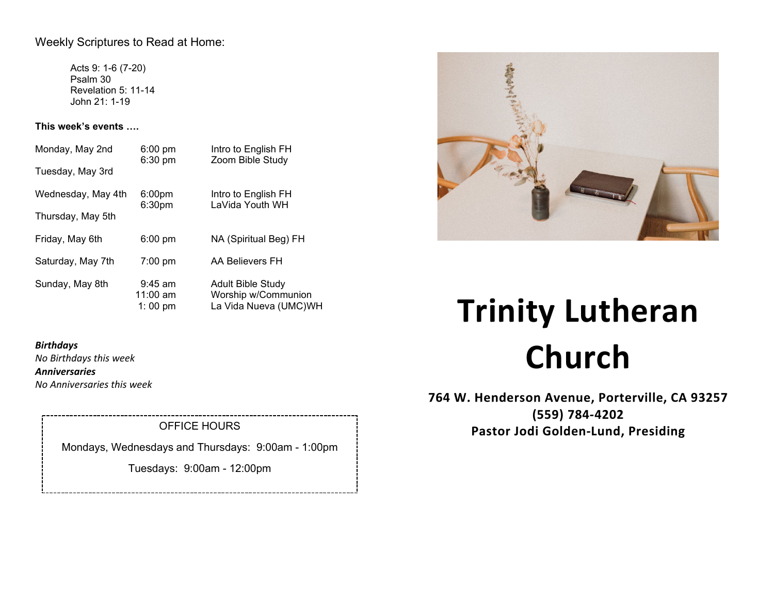## Weekly Scriptures to Read at Home:

Acts 9: 1-6 (7-20) Psalm 30 Revelation 5: 11-14 John 21: 1-19

**This week's events ….**

| Monday, May 2nd    | $6:00$ pm<br>$6:30 \text{ pm}$           | Intro to English FH<br>Zoom Bible Study                                  |
|--------------------|------------------------------------------|--------------------------------------------------------------------------|
| Tuesday, May 3rd   |                                          |                                                                          |
| Wednesday, May 4th | 6:00 <sub>pm</sub><br>6:30 <sub>pm</sub> | Intro to English FH<br>LaVida Youth WH                                   |
| Thursday, May 5th  |                                          |                                                                          |
| Friday, May 6th    | $6:00 \text{ pm}$                        | NA (Spiritual Beg) FH                                                    |
| Saturday, May 7th  | $7:00$ pm                                | AA Believers FH                                                          |
| Sunday, May 8th    | $9:45$ am<br>$11:00$ am<br>1:00 pm       | <b>Adult Bible Study</b><br>Worship w/Communion<br>La Vida Nueva (UMC)WH |

# おきこと

# *Birthdays*

*No Birthdays this week Anniversaries No Anniversaries this week*

# OFFICE HOURS

Mondays, Wednesdays and Thursdays: 9:00am - 1:00pm

Tuesdays: 9:00am - 12:00pm

# **Trinity Lutheran Church**

**764 W. Henderson Avenue, Porterville, CA 93257 (559) 784-4202 Pastor Jodi Golden-Lund, Presiding**